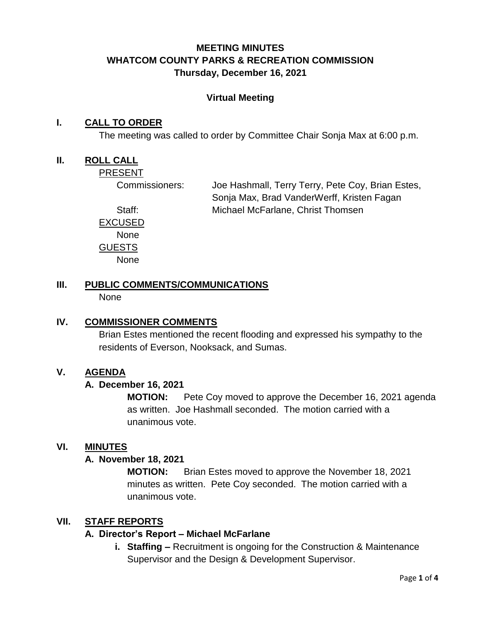# **MEETING MINUTES WHATCOM COUNTY PARKS & RECREATION COMMISSION Thursday, December 16, 2021**

#### **Virtual Meeting**

#### **I. CALL TO ORDER**

The meeting was called to order by Committee Chair Sonja Max at 6:00 p.m.

#### **II. ROLL CALL**

PRESENT

Commissioners: Joe Hashmall, Terry Terry, Pete Coy, Brian Estes, Sonja Max, Brad VanderWerff, Kristen Fagan Staff: Michael McFarlane, Christ Thomsen

EXCUSED None GUESTS None

#### **III. PUBLIC COMMENTS/COMMUNICATIONS** None

#### **IV. COMMISSIONER COMMENTS**

Brian Estes mentioned the recent flooding and expressed his sympathy to the residents of Everson, Nooksack, and Sumas.

#### **V. AGENDA**

#### **A. December 16, 2021**

**MOTION:** Pete Coy moved to approve the December 16, 2021 agenda as written. Joe Hashmall seconded. The motion carried with a unanimous vote.

#### **VI. MINUTES**

#### **A. November 18, 2021**

**MOTION:** Brian Estes moved to approve the November 18, 2021 minutes as written. Pete Coy seconded. The motion carried with a unanimous vote.

## **VII. STAFF REPORTS**

#### **A. Director's Report – Michael McFarlane**

**i. Staffing –** Recruitment is ongoing for the Construction & Maintenance Supervisor and the Design & Development Supervisor.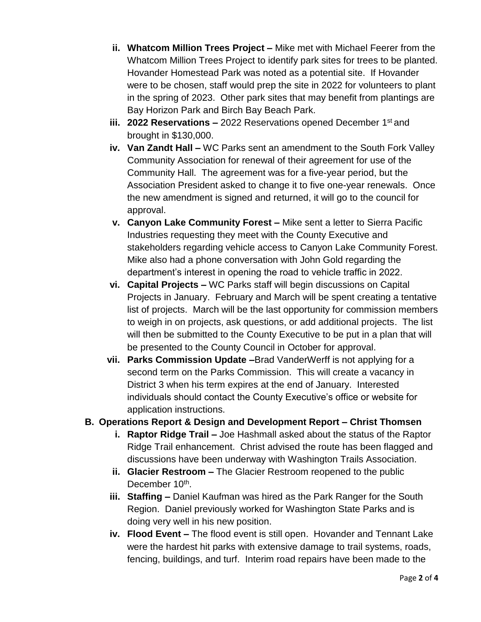- **ii. Whatcom Million Trees Project –** Mike met with Michael Feerer from the Whatcom Million Trees Project to identify park sites for trees to be planted. Hovander Homestead Park was noted as a potential site. If Hovander were to be chosen, staff would prep the site in 2022 for volunteers to plant in the spring of 2023. Other park sites that may benefit from plantings are Bay Horizon Park and Birch Bay Beach Park.
- iii. **2022 Reservations –** 2022 Reservations opened December 1<sup>st</sup> and brought in \$130,000.
- **iv. Van Zandt Hall –** WC Parks sent an amendment to the South Fork Valley Community Association for renewal of their agreement for use of the Community Hall. The agreement was for a five-year period, but the Association President asked to change it to five one-year renewals. Once the new amendment is signed and returned, it will go to the council for approval.
- **v. Canyon Lake Community Forest –** Mike sent a letter to Sierra Pacific Industries requesting they meet with the County Executive and stakeholders regarding vehicle access to Canyon Lake Community Forest. Mike also had a phone conversation with John Gold regarding the department's interest in opening the road to vehicle traffic in 2022.
- **vi. Capital Projects –** WC Parks staff will begin discussions on Capital Projects in January. February and March will be spent creating a tentative list of projects. March will be the last opportunity for commission members to weigh in on projects, ask questions, or add additional projects. The list will then be submitted to the County Executive to be put in a plan that will be presented to the County Council in October for approval.
- **vii. Parks Commission Update –**Brad VanderWerff is not applying for a second term on the Parks Commission. This will create a vacancy in District 3 when his term expires at the end of January. Interested individuals should contact the County Executive's office or website for application instructions.

## **B. Operations Report & Design and Development Report – Christ Thomsen**

- **i. Raptor Ridge Trail –** Joe Hashmall asked about the status of the Raptor Ridge Trail enhancement. Christ advised the route has been flagged and discussions have been underway with Washington Trails Association.
- **ii. Glacier Restroom –** The Glacier Restroom reopened to the public December 10<sup>th</sup>.
- **iii. Staffing –** Daniel Kaufman was hired as the Park Ranger for the South Region. Daniel previously worked for Washington State Parks and is doing very well in his new position.
- **iv. Flood Event –** The flood event is still open. Hovander and Tennant Lake were the hardest hit parks with extensive damage to trail systems, roads, fencing, buildings, and turf. Interim road repairs have been made to the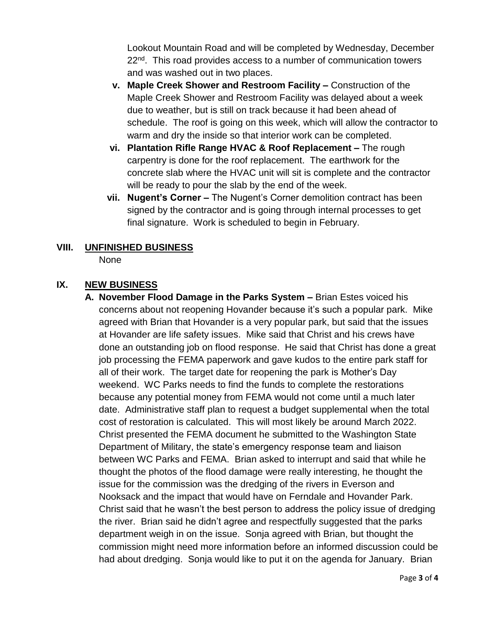Lookout Mountain Road and will be completed by Wednesday, December 22<sup>nd</sup>. This road provides access to a number of communication towers and was washed out in two places.

- **v. Maple Creek Shower and Restroom Facility –** Construction of the Maple Creek Shower and Restroom Facility was delayed about a week due to weather, but is still on track because it had been ahead of schedule. The roof is going on this week, which will allow the contractor to warm and dry the inside so that interior work can be completed.
- **vi. Plantation Rifle Range HVAC & Roof Replacement –** The rough carpentry is done for the roof replacement. The earthwork for the concrete slab where the HVAC unit will sit is complete and the contractor will be ready to pour the slab by the end of the week.
- **vii. Nugent's Corner –** The Nugent's Corner demolition contract has been signed by the contractor and is going through internal processes to get final signature. Work is scheduled to begin in February.

# **VIII. UNFINISHED BUSINESS**

None

# **IX. NEW BUSINESS**

**A. November Flood Damage in the Parks System –** Brian Estes voiced his concerns about not reopening Hovander because it's such a popular park. Mike agreed with Brian that Hovander is a very popular park, but said that the issues at Hovander are life safety issues. Mike said that Christ and his crews have done an outstanding job on flood response. He said that Christ has done a great job processing the FEMA paperwork and gave kudos to the entire park staff for all of their work. The target date for reopening the park is Mother's Day weekend. WC Parks needs to find the funds to complete the restorations because any potential money from FEMA would not come until a much later date. Administrative staff plan to request a budget supplemental when the total cost of restoration is calculated. This will most likely be around March 2022. Christ presented the FEMA document he submitted to the Washington State Department of Military, the state's emergency response team and liaison between WC Parks and FEMA. Brian asked to interrupt and said that while he thought the photos of the flood damage were really interesting, he thought the issue for the commission was the dredging of the rivers in Everson and Nooksack and the impact that would have on Ferndale and Hovander Park. Christ said that he wasn't the best person to address the policy issue of dredging the river. Brian said he didn't agree and respectfully suggested that the parks department weigh in on the issue. Sonja agreed with Brian, but thought the commission might need more information before an informed discussion could be had about dredging. Sonja would like to put it on the agenda for January. Brian